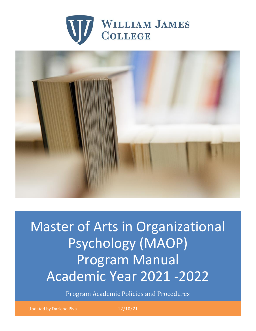



Master of Arts in Organizational Psychology (MAOP) Program Manual Academic Year 2021 -2022

Program Academic Policies and Procedures

Updated by Darlene Piva 12/10/21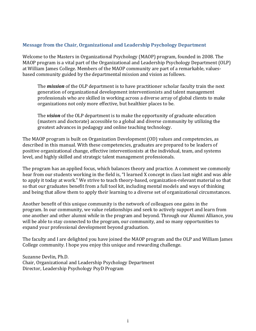#### **Message from the Chair, Organizational and Leadership Psychology Department**

Welcome to the Masters in Organizational Psychology (MAOP) program, founded in 2008. The MAOP program is a vital part of the Organizational and Leadership Psychology Department (OLP) at William James College. Members of the MAOP community are part of a remarkable, valuesbased community guided by the departmental mission and vision as follows.

The *mission* of the OLP department is to have practitioner scholar faculty train the next generation of organizational development interventionists and talent management professionals who are skilled in working across a diverse array of global clients to make organizations not only more effective, but healthier places to be.

The *vision* of the OLP department is to make the opportunity of graduate education (masters and doctorate) accessible to a global and diverse community by utilizing the greatest advances in pedagogy and online teaching technology.

The MAOP program is built on Organization Development (OD) values and competencies, as described in this manual. With these competencies, graduates are prepared to be leaders of positive organizational change, effective interventionists at the individual, team, and systems level, and highly skilled and strategic talent management professionals.

The program has an applied focus, which balances theory and practice. A comment we commonly hear from our students working in the field is, "I learned X concept in class last night and was able to apply it today at work." We strive to teach theory-based, organization-relevant material so that so that our graduates benefit from a full tool kit, including mental models and ways of thinking and being that allow them to apply their learning to a diverse set of organizational circumstances.

Another benefit of this unique community is the network of colleagues one gains in the program. In our community, we value relationships and seek to actively support and learn from one another and other alumni while in the program and beyond. Through our Alumni Alliance, you will be able to stay connected to the program, our community, and so many opportunities to expand your professional development beyond graduation.

The faculty and I are delighted you have joined the MAOP program and the OLP and William James College community. I hope you enjoy this unique and rewarding challenge.

Suzanne Devlin, Ph.D. Chair, Organizational and Leadership Psychology Department Director, Leadership Psychology PsyD Program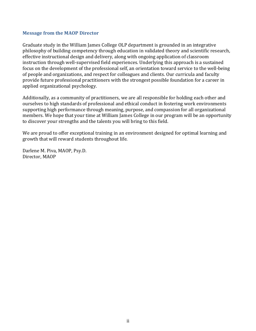#### **Message from the MAOP Director**

Graduate study in the William James College OLP department is grounded in an integrative philosophy of building competency through education in validated theory and scientific research, effective instructional design and delivery, along with ongoing application of classroom instruction through well-supervised field experiences. Underlying this approach is a sustained focus on the development of the professional self, an orientation toward service to the well-being of people and organizations, and respect for colleagues and clients. Our curricula and faculty provide future professional practitioners with the strongest possible foundation for a career in applied organizational psychology.

Additionally, as a community of practitioners, we are all responsible for holding each other and ourselves to high standards of professional and ethical conduct in fostering work environments supporting high performance through meaning, purpose, and compassion for all organizational members. We hope that your time at William James College in our program will be an opportunity to discover your strengths and the talents you will bring to this field.

We are proud to offer exceptional training in an environment designed for optimal learning and growth that will reward students throughout life.

Darlene M. Piva, MAOP, Psy.D. Director, MAOP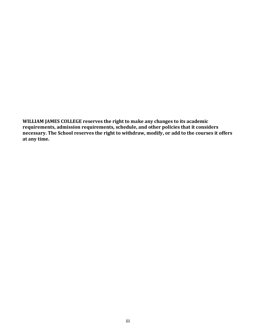**WILLIAM JAMES COLLEGE reserves the right to make any changes to its academic requirements, admission requirements, schedule, and other policies that it considers necessary. The School reserves the right to withdraw, modify, or add to the courses it offers at any time.**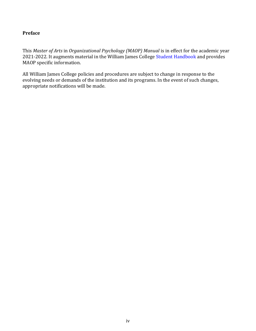### **Preface**

This *Master of Arts* in *Organizational Psychology (MAOP) Manual* is in effect for the academic year 2021-2022. It augments material in the William James College Student Handbook and provides MAOP specific information.

All William James College policies and procedures are subject to change in response to the evolving needs or demands of the institution and its programs. In the event of such changes, appropriate notifications will be made.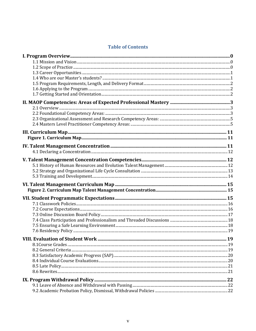# **Table of Contents**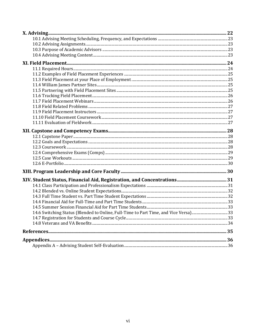| 14.6 Switching Status (Blended to Online, Full-Time to Part Time, and Vice Versa)33 |  |
|-------------------------------------------------------------------------------------|--|
|                                                                                     |  |
|                                                                                     |  |
|                                                                                     |  |
|                                                                                     |  |
|                                                                                     |  |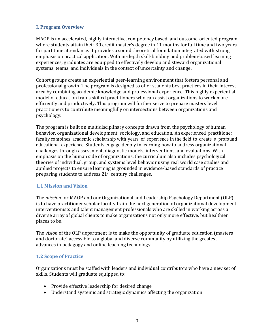#### <span id="page-7-0"></span>**I. Program Overview**

MAOP is an accelerated, highly interactive, competency based, and outcome-oriented program where students attain their 30 credit master's degree in 11 months for full time and two years for part time attendance. It provides a sound theoretical foundation integrated with strong emphasis on practical application. With in-depth skill-building and problem-based learning experiences, graduates are equipped to effectively develop and steward organizational systems, teams, and individuals in the context of uncertainty and change.

Cohort groups create an experiential peer-learning environment that fosters personal and professional growth. The program is designed to offer students best practices in their interest area by combining academic knowledge and professional experience. This highly experiential model of education trains skilled practitioners who can assist organizations to work more efficiently and productively. This program will further serve to prepare masters level practitioners to contribute meaningfully on intersections between organizations and psychology.

The program is built on multidisciplinary concepts drawn from the psychology of human behavior, organizational development, sociology, and education. An experienced practitioner faculty combines academic scholarship with years of experience in the field to create a profound educational experience. Students engage deeply in learning how to address organizational challenges through assessment, diagnostic models, interventions, and evaluations. With emphasis on the human side of organizations, the curriculum also includes psychological theories of individual, group, and systems level behavior using real world case studies and applied projects to ensure learning is grounded in evidence-based standards of practice preparing students to address 21st century challenges.

#### <span id="page-7-1"></span>**1.1 Mission and Vision**

The *mission* for MAOP and our Organizational and Leadership Psychology Department (OLP) is to have practitioner scholar faculty train the next generation of organizational development interventionists and talent management professionals who are skilled in working across a diverse array of global clients to make organizations not only more effective, but healthier places to be.

The *vision* of the OLP department is to make the opportunity of graduate education (masters and doctorate) accessible to a global and diverse community by utilizing the greatest advances in pedagogy and online teaching technology.

#### <span id="page-7-2"></span>**1.2 Scope of Practice**

Organizations must be staffed with leaders and individual contributors who have a new set of skills. Students will graduate equipped to:

- Provide effective leadership for desired change
- Understand systemic and strategic dynamics affecting the organization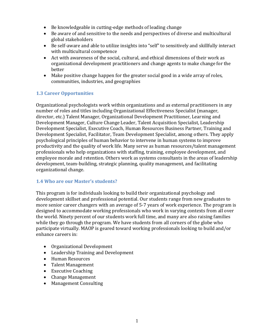- Be knowledgeable in cutting-edge methods of leading change
- Be aware of and sensitive to the needs and perspectives of diverse and multicultural global stakeholders
- Be self-aware and able to utilize insights into "self" to sensitively and skillfully interact with multicultural competence
- Act with awareness of the social, cultural, and ethical dimensions of their work as organizational development practitioners and change agents to make change for the better
- Make positive change happen for the greater social good in a wide array of roles, communities, industries, and geographies

## <span id="page-8-0"></span>**1.3 Career Opportunities**

Organizational psychologists work within organizations and as external practitioners in any number of roles and titles including Organizational Effectiveness Specialist (manager, director, etc.) Talent Manager, Organizational Development Practitioner, Learning and Development Manager, Culture Change Leader, Talent Acquisition Specialist, Leadership Development Specialist, Executive Coach, Human Resources Business Partner, Training and Development Specialist, Facilitator, Team Development Specialist, among others. They apply psychological principles of human behavior to intervene in human systems to improve productivity and the quality of work life. Many serve as human resources/talent management professionals who help organizations with staffing, training, employee development, and employee morale and retention. Others work as systems consultants in the areas of leadership development, team-building, strategic planning, quality management, and facilitating organizational change.

#### <span id="page-8-1"></span>**1.4 Who are our Master's students?**

This program is for individuals looking to build their organizational psychology and development skillset and professional potential. Our students range from new graduates to more senior career changers with an average of 5-7 years of work experience. The program is designed to accommodate working professionals who work in varying contexts from all over the world. Ninety percent of our students work full time, and many are also raising families while they go through the program. We have students from all corners of the globe who participate virtually. MAOP is geared toward working professionals looking to build and/or enhance careers in:

- Organizational Development
- Leadership Training and Development
- Human Resources
- Talent Management
- Executive Coaching
- Change Management
- Management Consulting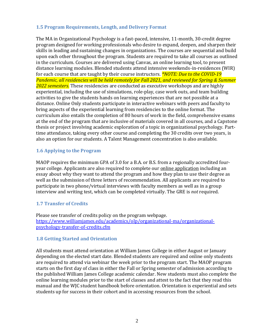#### <span id="page-9-0"></span>**1.5 Program Requirements, Length, and Delivery Format**

The MA in Organizational Psychology is a fast-paced, intensive, 11-month, 30-credit degree program designed for working professionals who desire to expand, deepen, and sharpen their skills in leading and sustaining changes in organizations. The courses are sequential and build upon each other throughout the program. Students are required to take all courses as outlined in the curriculum. Courses are delivered using Canvas, an online learning tool, to present distance learning modules. Blended students attend intensive weekends-in-residences (WIR) for each course that are taught by their course instructors. *\*NOTE: Due to the COVID-19 Pandemic, all residencies will be held remotely for Fall 2021, and reviewed for Spring & Summer 2022 semesters.* These residencies are conducted as executive workshops and are highly experiential, including the use of simulations, role-play, case work outs, and team building activities to give the students hands on learning experiences that are not possible at a distance. Online Only students participate in interactive webinars with peers and faculty to bring aspects of the experiential learning from residencies to the online format. The curriculum also entails the completion of 80 hours of work in the field, comprehensive exams at the end of the program that are inclusive of materials covered in all courses, and a Capstone thesis or project involving academic exploration of a topic in organizational psychology. Parttime attendance, taking every other course and completing the 30 credits over two years, is also an option for our students. A Talent Management concentration is also available.

### <span id="page-9-1"></span>**1.6 Applying to the Program**

MAOP requires the minimum GPA of 3.0 for a B.A. or B.S. from a regionally accredited fouryear college. Applicants are also required to complete our online application including an essay about why they want to attend the program and how they plan to use their degree as well as the submission of three letters of recommendation. All applicants are required to participate in two phone/virtual interviews with faculty members as well as in a group interview and writing test, which can be completed virtually. The GRE is *not* required.

### <span id="page-9-2"></span>**1.7 Transfer of Credits**

Please see transfer of credits policy on the program webpage. [https://www.williamjames.edu/academics/olp/organizational-ma/organizational](https://www.williamjames.edu/academics/olp/organizational-ma/organizational-psychology-transfer-of-credits.cfm)[psychology-transfer-of-credits.cfm](https://www.williamjames.edu/academics/olp/organizational-ma/organizational-psychology-transfer-of-credits.cfm)

#### **1.8 Getting Started and Orientation**

All students must attend orientation at William James College in either August or January depending on the elected start date. Blended students are required and online only students are required to attend via webinar the week prior to the program start. The MAOP program starts on the first day of class in either the Fall or Spring semester of admission according to the published William James College academic calendar. New students must also complete the online learning modules prior to the start of classes and attest to the fact that they read this manual and the WJC student handbook before orientation. Orientation is experiential and sets students up for success in their cohort and in accessing resources from the school.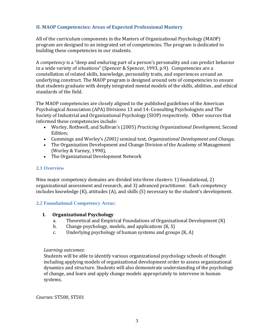#### <span id="page-10-0"></span>**II. MAOP Competencies: Areas of Expected Professional Mastery**

All of the curriculum components in the Masters of Organizational Psychology (MAOP) program are designed to an integrated set of competencies. The program is dedicated to building these competencies in our students.

A *competency* is a "deep and enduring part of a person's personality and can predict behavior in a wide variety of situations" (Spencer & Spencer, 1993, p.9). Competencies are a constellation of related skills, knowledge, personality traits, and experiences around an underlying construct. The MAOP program is designed around sets of competencies to ensure that students graduate with deeply integrated mental models of the skills, abilities, and ethical standards of the field.

The MAOP competencies are closely aligned to the published guidelines of the American Psychological Association (APA) Divisions 13 and 14: Consulting Psychologists and The Society of Industrial and Organizational Psychology (SIOP) respectively. Other sources that informed these competencies include:

- Worley, Rothwell, and Sullivan's (2005) *Practicing Organizational Development,* Second Edition;
- Cummings and Worley's *(2001)* seminal text*, Organizational Development and Change,*
- The Organization Development and Change Division of the Academy of Management (Worley & Varney, 1998),
- The Organizational Development Network

#### <span id="page-10-1"></span>**2.1 Overview**

Nine major competency domains are divided into three clusters: 1) foundational, 2) organizational assessment and research, and 3) advanced practitioner. Each competency includes knowledge (K), attitudes (A), and skills (S) necessary to the student's development.

#### <span id="page-10-2"></span>**2.2 Foundational Competency Areas:**

#### **I. Organizational Psychology**

- a. Theoretical and Empirical Foundations of Organizational Development (K)
- b. Change psychology, models, and applications (K, S)
- c. Underlying psychology of human systems and groups (K, A)

#### *Learning outcomes*:

Students will be able to identify various organizational psychology schools of thought including applying models of organizational development order to assess organizational dynamics and structure. Students will also demonstrate understanding of the psychology of change, and learn and apply change models appropriately to intervene in human systems.

*Courses:* ST500, ST501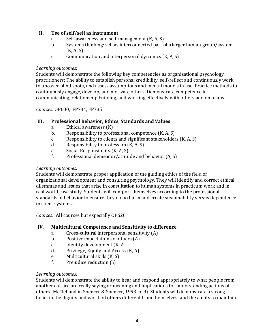### **II. Use of self/self as instrument**

- a. Self-awareness and self-management (K, A, S)
- b. Systems thinking: self as interconnected part of a larger human group/system (K, A, S)
- c. Communication and interpersonal dynamics (K, A, S)

#### *Learning outcomes*:

Students will demonstrate the following key competencies as organizational psychology practitioners: The ability to establish personal credibility, self-reflect and continuously work to uncover blind spots, and assess assumptions and mental models in use. Practice methods to continuously engage, develop, and motivate others. Demonstrate competence in communicating, relationship building, and working effectively with others and on teams.

*Courses:* OP600, FP734, FP735

### **III. Professional Behavior, Ethics, Standards and Values**

- a. Ethical awareness (K)
- b. Responsibility to professional competence  $(K, A, S)$
- c. Responsibility to clients and significant stakeholders (K, A, S)
- d. Responsibility to profession (K, A, S)
- e. Social Responsibility (K, A, S)
- f. Professional demeanor/attitude and behavior (A, S)

#### *Learning outcomes:*

Students will demonstrate proper application of the guiding ethics of the field of organizational development and consulting psychology. They will identify and correct ethical dilemmas and issues that arise in consultation to human systems in practicum work and in real world case study. Students will comport themselves according to the professional standards of behavior to ensure they do no harm and create sustainability versus dependence in client systems.

*Courses:* **All** courses but especially OP620

### **IV. Multicultural Competence and Sensitivity to difference**

- a. Cross-cultural interpersonal sensitivity (A)
- b. Positive expectations of others (A)
- c. Identity development (K, A)
- d. Privilege, Equity and Access (K, A)
- e. Multicultural skills (K, S)
- f. Prejudice reduction (S)

#### *Learning outcomes:*

Students will demonstrate the ability to hear and respond appropriately to what people from another culture are really saying or meaning and implications for understanding actions of others (McClelland in Spencer & Spencer, 1993, p. 9). Students will demonstrate a strong belief in the dignity and worth of others different from themselves, and the ability to maintain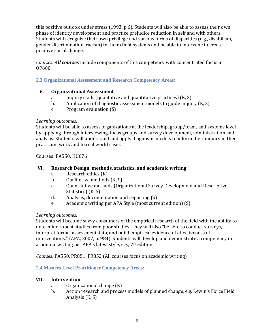this positive outlook under stress (1993, p.6). Students will also be able to assess their own phase of identity development and practice prejudice reduction in self and with others. Students will recognize their own privilege and various forms of disparities (e.g., disabilism, gender discrimination, racism) in their client systems and be able to intervene to create positive social change.

*Courses: All courses* include components of this competency with concentrated focus in OP600.

### <span id="page-12-0"></span>**2.3 Organizational Assessment and Research Competency Areas:**

#### **V. Organizational Assessment**

- a. Inquiry skills (qualitative and quantitative practices) (K, S)
- b. Application of diagnostic assessment models to guide inquiry (K, S)
- c. Program evaluation (S)

#### *Learning outcomes:*

Students will be able to assess organizations at the leadership, group/team, and systems level by applying through interviewing, focus groups and survey development, administration and analysis. Students will understand and apply diagnostic models to inform their inquiry in their practicum work and to real world cases.

#### Courses: PA550, HU676

#### **VI. Research Design, methods, statistics, and academic writing**

- a. Research ethics (K)
- b. Qualitative methods (K, S)
- c. Quantitative methods (Organizational Survey Development and Descriptive Statistics) (K, S)
- d. Analysis, documentation and reporting (S)
- e. Academic writing per APA Style (most current edition) (S)

#### *Learning outcomes:*

Students will become savvy consumers of the empirical research of the field with the ability to determine robust studies from poor studies. They will also "be able to conduct surveys, interpret formal assessment data, and build empirical evidence of effectiveness of interventions." (APA, 2007, p. 984). Students will develop and demonstrate a competency in academic writing per APA's latest style, e.g., 7<sup>th</sup> edition.

*Courses:* PA550, PR851, PR852 (All courses focus on academic writing)

#### <span id="page-12-1"></span>**2.4 Masters Level Practitioner Competency Areas:**

#### **VII. Intervention**

- a. Organizational change (K)
- b. Action research and process models of planned change, e.g. Lewin's Force Field Analysis (K, S)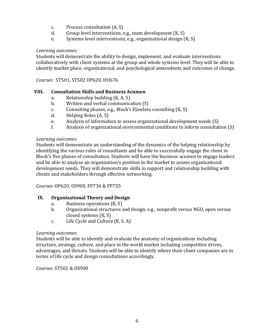- c. Process consultation (A, S)
- d. Group level interventions, e.g., team development (K, S)
- e. Systems level interventions, e.g., organizational design (K, S)

#### *Learning outcomes:*

Students will demonstrate the ability to design, implement, and evaluate interventions collaboratively with client systems at the group and whole systems level. They will be able to identify market place, organizational, and psychological antecedents and outcomes of change.

*Courses:* ST501, ST502 OP620, HU676

### **VIII. Consultation Skills and Business Acumen**

- a. Relationship building (K, A, S)
- b. Written and verbal communication (S)
- c. Consulting phases, e.g., Block's Flawless consulting (K, S)
- d. Helping Roles (A, S)
- e. Analysis of information to assess organizational development needs (S)
- f. Analysis of organizational environmental conditions to inform consultation (S)

#### *Learning outcomes:*

Students will demonstrate an understanding of the dynamics of the helping relationship by identifying the various roles of consultants and be able to successfully engage the client in Block's five phases of consultation. Students will have the business acumen to engage leaders and be able to analyze an organization's position in the market to assess organizational development needs. They will demonstrate skills in rapport and relationship building with clients and stakeholders through effective networking.

*Courses:* OP620, OS900, FP734 & FP735

### **IX. Organizational Theory and Design**

- a. Business operations (K, S)
- b. Organizational structures and design, e.g., nonprofit versus NGO, open versus closed systems (K, S)
- c. Life Cycle and Culture (K, S, A)

#### *Learning outcomes:*

Students will be able to identify and evaluate the anatomy of organizations including structure, strategy, culture, and place in the world market including competitive drives, advantages, and threats. Students will be able to identify where their client companies are in terms of life cycle and design consultations accordingly.

*Courses:* ST502 & OS900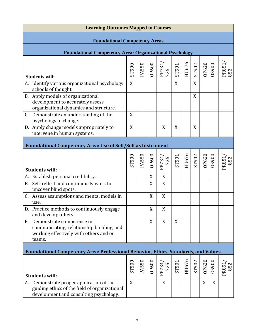| <b>Learning Outcomes Mapped to Courses</b>                                                                                          |       |              |             |               |       |       |       |                |                |              |
|-------------------------------------------------------------------------------------------------------------------------------------|-------|--------------|-------------|---------------|-------|-------|-------|----------------|----------------|--------------|
| <b>Foundational Competency Areas</b>                                                                                                |       |              |             |               |       |       |       |                |                |              |
| <b>Foundational Competency Area: Organizational Psychology</b>                                                                      |       |              |             |               |       |       |       |                |                |              |
|                                                                                                                                     |       |              |             |               |       |       |       |                |                |              |
|                                                                                                                                     | ST500 | <b>PA550</b> | OP600       | FP734/<br>735 | ST501 | HU676 | ST502 | OP620<br>OS900 |                | PR851<br>852 |
| <b>Students will:</b>                                                                                                               |       |              |             |               |       |       |       |                |                |              |
| Identify various organizational psychology<br>A.<br>schools of thought.                                                             | X     |              |             |               | X     |       | X     |                |                |              |
| B. Apply models of organizational<br>development to accurately assess<br>organizational dynamics and structure.                     |       |              |             |               |       |       | X     |                |                |              |
| C. Demonstrate an understanding of the<br>psychology of change.                                                                     | X     |              |             |               |       |       |       |                |                |              |
| D. Apply change models appropriately to<br>intervene in human systems.                                                              | X     |              |             | X             | X     |       | X     |                |                |              |
| <b>Foundational Competency Area: Use of Self/Self as Instrument</b>                                                                 |       |              |             |               |       |       |       |                |                |              |
| <b>Students will:</b>                                                                                                               | ST500 | PA550        | OP600       | FP734/<br>735 | ST501 | HU676 | ST502 |                | OP620<br>OS900 | PR851<br>852 |
| Establish personal credibility.<br>А.                                                                                               |       |              | X           | X             |       |       |       |                |                |              |
| Self-reflect and continuously work to<br><b>B.</b><br>uncover blind spots.                                                          |       |              | X           | X             |       |       |       |                |                |              |
| Assess assumptions and mental models in<br>use.                                                                                     |       |              | X           | X             |       |       |       |                |                |              |
| D. Practice methods to continuously engage<br>and develop others.                                                                   |       |              | $\mathbf X$ | X             |       |       |       |                |                |              |
| E. Demonstrate competence in<br>communicating, relationship building, and<br>working effectively with others and on<br>teams.       |       |              | X           | X             | X     |       |       |                |                |              |
| Foundational Competency Area: Professional Behavior, Ethics, Standards, and Values                                                  |       |              |             |               |       |       |       |                |                |              |
| <b>Students will:</b>                                                                                                               | ST500 | PA550        | OP600       | FP734/<br>735 | ST501 | HU676 | ST502 | OP620          | <b>0850</b>    | 852<br>PR851 |
| A. Demonstrate proper application of the<br>guiding ethics of the field of organizational<br>development and consulting psychology. | X     |              |             | X             |       |       |       | X              | X              |              |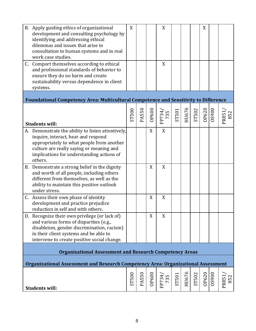| B. Apply guiding ethics of organizational<br>development and consulting psychology by<br>identifying and addressing ethical<br>dilemmas and issues that arise in<br>consultation to human systems and in real<br>work case studies.<br>C. Comport themselves according to ethical<br>and professional standards of behavior to<br>ensure they do no harm and create<br>sustainability versus dependence in client<br>systems. | X     |              |              | X<br>X        |       |       |              | X     |              |              |
|-------------------------------------------------------------------------------------------------------------------------------------------------------------------------------------------------------------------------------------------------------------------------------------------------------------------------------------------------------------------------------------------------------------------------------|-------|--------------|--------------|---------------|-------|-------|--------------|-------|--------------|--------------|
| Foundational Competency Area: Multicultural Competence and Sensitivity to Difference                                                                                                                                                                                                                                                                                                                                          |       |              |              |               |       |       |              |       |              |              |
| <b>Students will:</b>                                                                                                                                                                                                                                                                                                                                                                                                         | ST500 | <b>PA550</b> | OP600        | FP734<br>735  | ST501 | HU676 | <b>ST502</b> | OP620 | 006SO        | PR851<br>852 |
| A. Demonstrate the ability to listen attentively,<br>inquire, interact, hear and respond<br>appropriately to what people from another<br>culture are really saying or meaning and<br>implications for understanding actions of<br>others.                                                                                                                                                                                     |       |              | X            | X             |       |       |              |       |              |              |
| B. Demonstrate a strong belief in the dignity<br>and worth of all people, including others<br>different from themselves, as well as the<br>ability to maintain this positive outlook<br>under stress.                                                                                                                                                                                                                         |       |              | X            | X             |       |       |              |       |              |              |
| C. Assess their own phase of identity<br>development and practice prejudice<br>reduction in self and with others                                                                                                                                                                                                                                                                                                              |       |              | X            | X             |       |       |              |       |              |              |
| D. Recognize their own privilege (or lack of)<br>and various forms of disparities (e.g.,<br>disableism, gender discrimination, racism)<br>in their client systems and be able to<br>intervene to create positive social change.                                                                                                                                                                                               |       |              | X            | X             |       |       |              |       |              |              |
| <b>Organizational Assessment and Research Competency Areas</b>                                                                                                                                                                                                                                                                                                                                                                |       |              |              |               |       |       |              |       |              |              |
| Organizational Assessment and Research Competency Area: Organizational Assessment                                                                                                                                                                                                                                                                                                                                             |       |              |              |               |       |       |              |       |              |              |
| <b>Students will:</b>                                                                                                                                                                                                                                                                                                                                                                                                         | ST500 | PA550        | <b>OP600</b> | FP734/<br>735 | ST501 | HU676 | ST502        | OP620 | <b>026SO</b> | PR851<br>852 |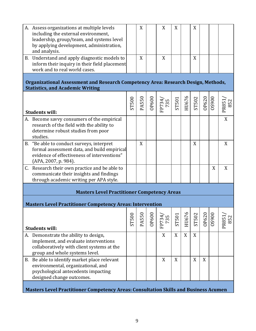| A. Assess organizations at multiple levels                                                  |       | X            |              | X             | X            |       | X     |       |              |       |
|---------------------------------------------------------------------------------------------|-------|--------------|--------------|---------------|--------------|-------|-------|-------|--------------|-------|
| including the external environment,                                                         |       |              |              |               |              |       |       |       |              |       |
| leadership, group/team, and systems level                                                   |       |              |              |               |              |       |       |       |              |       |
| by applying development, administration,                                                    |       |              |              |               |              |       |       |       |              |       |
| and analysis.                                                                               |       |              |              |               |              |       |       |       |              |       |
| B. Understand and apply diagnostic models to                                                |       | X            |              | X             |              |       | X     |       |              |       |
| inform their inquiry in their field placement                                               |       |              |              |               |              |       |       |       |              |       |
| work and to real world cases.                                                               |       |              |              |               |              |       |       |       |              |       |
|                                                                                             |       |              |              |               |              |       |       |       |              |       |
| Organizational Assessment and Research Competency Area: Research Design, Methods,           |       |              |              |               |              |       |       |       |              |       |
| <b>Statistics, and Academic Writing</b>                                                     |       |              |              |               |              |       |       |       |              |       |
|                                                                                             |       |              |              |               |              |       |       |       |              |       |
|                                                                                             | ST500 | PA550        | OP600        | FP734/<br>735 | <b>ST501</b> | HU676 | ST502 | OP620 | <b>006SO</b> | 852   |
|                                                                                             |       |              |              |               |              |       |       |       |              | PR851 |
| <b>Students will:</b>                                                                       |       |              |              |               |              |       |       |       |              |       |
| A. Become savvy consumers of the empirical                                                  |       |              |              |               |              |       |       |       |              | X     |
| research of the field with the ability to                                                   |       |              |              |               |              |       |       |       |              |       |
| determine robust studies from poor                                                          |       |              |              |               |              |       |       |       |              |       |
| studies.                                                                                    |       |              |              |               |              |       |       |       |              |       |
| B. "Be able to conduct surveys, interpret                                                   |       | X            |              |               |              |       | X     |       |              | X     |
| formal assessment data, and build empirical                                                 |       |              |              |               |              |       |       |       |              |       |
| evidence of effectiveness of interventions"                                                 |       |              |              |               |              |       |       |       |              |       |
| (APA, 2007, p. 984).                                                                        |       |              |              |               |              |       |       |       |              |       |
| C. Research their own practice and be able to                                               |       |              |              |               |              |       |       |       | X            | X     |
| communicate their insights and findings                                                     |       |              |              |               |              |       |       |       |              |       |
| through academic writing per APA style.                                                     |       |              |              |               |              |       |       |       |              |       |
| <b>Masters Level Practitioner Competency Areas</b>                                          |       |              |              |               |              |       |       |       |              |       |
|                                                                                             |       |              |              |               |              |       |       |       |              |       |
| <b>Masters Level Practitioner Competency Areas: Intervention</b>                            |       |              |              |               |              |       |       |       |              |       |
|                                                                                             |       |              |              |               |              |       |       |       |              |       |
|                                                                                             | ST500 | <b>PA550</b> | <b>OP600</b> | FP734/<br>735 | ST501        | HU676 | ST502 | OP620 | <b>006SO</b> | 852   |
|                                                                                             |       |              |              |               |              |       |       |       |              | PR851 |
| <b>Students will:</b>                                                                       |       |              |              |               |              |       |       |       |              |       |
| A. Demonstrate the ability to design,                                                       |       |              |              | X             | X            | X     | X     |       |              |       |
| implement, and evaluate interventions                                                       |       |              |              |               |              |       |       |       |              |       |
| collaboratively with client systems at the                                                  |       |              |              |               |              |       |       |       |              |       |
| group and whole systems level.                                                              |       |              |              |               |              |       |       |       |              |       |
| B. Be able to identify market place relevant                                                |       |              |              | X             | X            |       | X     | X     |              |       |
| environmental, organizational, and                                                          |       |              |              |               |              |       |       |       |              |       |
| psychological antecedents impacting                                                         |       |              |              |               |              |       |       |       |              |       |
| designed change outcomes.                                                                   |       |              |              |               |              |       |       |       |              |       |
|                                                                                             |       |              |              |               |              |       |       |       |              |       |
| <b>Masters Level Practitioner Competency Areas: Consultation Skills and Business Acumen</b> |       |              |              |               |              |       |       |       |              |       |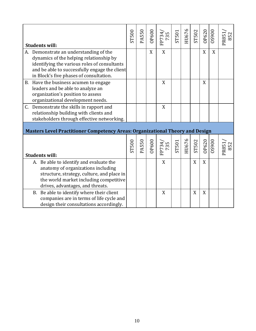|    | <b>Students will:</b>                                                                                                                                                                                                         | ST500 | PA550        | OP600 | FP734/<br>735    | ST501 | HU676 | ST502 | OP620 | 006SO        | PR851<br>852 |
|----|-------------------------------------------------------------------------------------------------------------------------------------------------------------------------------------------------------------------------------|-------|--------------|-------|------------------|-------|-------|-------|-------|--------------|--------------|
|    | A. Demonstrate an understanding of the<br>dynamics of the helping relationship by<br>identifying the various roles of consultants<br>and be able to successfully engage the client<br>in Block's five phases of consultation. |       |              | X     | X                |       |       |       | X     | X            |              |
|    | B. Have the business acumen to engage<br>leaders and be able to analyze an<br>organization's position to assess<br>organizational development needs.                                                                          |       |              |       | $\boldsymbol{X}$ |       |       |       | X     |              |              |
| C. | Demonstrate the skills in rapport and<br>relationship building with clients and<br>stakeholders through effective networking.                                                                                                 |       |              |       | X                |       |       |       |       |              |              |
|    | <b>Masters Level Practitioner Competency Areas: Organizational Theory and Design</b>                                                                                                                                          |       |              |       |                  |       |       |       |       |              |              |
|    | <b>Students will:</b>                                                                                                                                                                                                         | ST500 | <b>PA550</b> | OP600 | FP734/<br>735    | ST501 | HU676 | ST502 | OP620 | <b>026SO</b> | PR851<br>852 |
|    | A. Be able to identify and evaluate the<br>anatomy of organizations including<br>structure, strategy, culture, and place in<br>the world market including competitive<br>drives, advantages, and threats.                     |       |              |       | X                |       |       | X     | X     |              |              |
|    | Be able to identify where their client<br><b>B.</b><br>companies are in terms of life cycle and<br>design their consultations accordingly.                                                                                    |       |              |       | X                |       |       | X     | X     |              |              |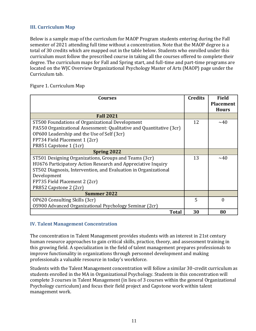### <span id="page-18-0"></span>**III. Curriculum Map**

Below is a sample map of the curriculum for MAOP Program students entering during the Fall semester of 2021 attending full time without a concentration. Note that the MAOP degree is a total of 30 credits which are mapped out in the table below. Students who enrolled under this curriculum must follow the prescribed course in taking all the courses offered to complete their degree. The curriculum maps for Fall and Spring start, and full-time and part-time programs are located on the WJC Overview Organizational Psychology Master of Arts (MAOP) page under the Curriculum tab.

#### <span id="page-18-1"></span>Figure 1. Curriculum Map

| <b>Courses</b>                                                      | <b>Credits</b> | <b>Field</b>                     |
|---------------------------------------------------------------------|----------------|----------------------------------|
|                                                                     |                | <b>Placement</b><br><b>Hours</b> |
| <b>Fall 2021</b>                                                    |                |                                  |
| ST500 Foundations of Organizational Development                     | 12             | $\sim$ 40                        |
| PA550 Organizational Assessment: Qualitative and Quantitative (3cr) |                |                                  |
| OP600 Leadership and the Use of Self (3cr)                          |                |                                  |
| FP734 Field Placement 1 (2cr)                                       |                |                                  |
| PR851 Capstone 1 (1cr)                                              |                |                                  |
| <b>Spring 2022</b>                                                  |                |                                  |
| ST501 Designing Organizations, Groups and Teams (3cr)               | 13             | ~1                               |
| HU676 Participatory Action Research and Appreciative Inquiry        |                |                                  |
| ST502 Diagnosis, Intervention, and Evaluation in Organizational     |                |                                  |
| Development                                                         |                |                                  |
| FP735 Field Placement 2 (2cr)                                       |                |                                  |
| PR852 Capstone 2 (2cr)                                              |                |                                  |
| <b>Summer 2022</b>                                                  |                |                                  |
| OP620 Consulting Skills (3cr)                                       | 5              | 0                                |
| 0S900 Advanced Organizational Psychology Seminar (2cr)              |                |                                  |
| <b>Total</b>                                                        | 30             | 80                               |

#### <span id="page-18-2"></span>**IV. Talent Management Concentration**

The concentration in Talent Management provides students with an interest in 21st century human resource approaches to gain critical skills, practice, theory, and assessment training in this growing field. A specialization in the field of talent management prepares professionals to improve functionality in organizations through personnel development and making professionals a valuable resource in today's workforce.

Students with the Talent Management concentration will follow a similar 30-credit curriculum as students enrolled in the MA in Organizational Psychology. Students in this concentration will complete 3 courses in Talent Management (in lieu of 3 courses within the general Organizational Psychology curriculum) and focus their field project and Capstone work within talent management work.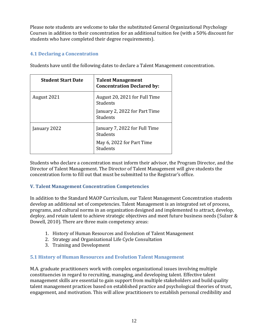Please note students are welcome to take the substituted General Organizational Psychology Courses in addition to their concentration for an additional tuition fee (with a 50% discount for students who have completed their degree requirements).

## <span id="page-19-0"></span>**4.1 Declaring a Concentration**

| <b>Student Start Date</b> | <b>Talent Management</b><br><b>Concentration Declared by:</b> |
|---------------------------|---------------------------------------------------------------|
| August 2021               | August 20, 2021 for Full Time<br>Students                     |
|                           | January 2, 2022 for Part Time<br>Students                     |
| January 2022              | January 7, 2022 for Full Time<br>Students                     |
|                           | May 6, 2022 for Part Time<br>Students                         |

Students have until the following dates to declare a Talent Management concentration.

Students who declare a concentration must inform their advisor, the Program Director, and the Director of Talent Management. The Director of Talent Management will give students the concentration form to fill out that must be submitted to the Registrar's office.

### <span id="page-19-1"></span>**V. Talent Management Concentration Competencies**

In addition to the Standard MAOP Curriculum, our Talent Management Concentration students develop an additional set of competencies. Talent Management is an integrated set of process, programs, and cultural norms in an organization designed and implemented to attract, develop, deploy, and retain talent to achieve strategic objectives and meet future business needs (Sulzer & Dowell, 2010). There are three main competency areas:

- 1. History of Human Resources and Evolution of Talent Management
- 2. Strategy and Organizational Life Cycle Consultation
- 3. Training and Development

# <span id="page-19-2"></span>**5.1 History of Human Resources and Evolution Talent Management**

M.A. graduate practitioners work with complex organizational issues involving multiple constituencies in regard to recruiting, managing, and developing talent. Effective talent management skills are essential to gain support from multiple stakeholders and build quality talent management practices based on established practice and psychological theories of trust, engagement, and motivation. This will allow practitioners to establish personal credibility and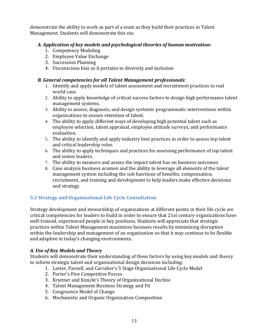demonstrate the ability to work as part of a team as they build their practices in Talent Management. Students will demonstrate this via:

### *A. Application of key models and psychological theories of human motivation:*

- 1. Competency Modeling
- 2. Employee Value Exchange
- 3. Succession Planning
- 4. Unconscious bias as it pertains to diversity and inclusion

#### *B. General competencies for all Talent Management professionals*:

- 1. Identify and apply models of talent assessment and recruitment practices to real world case.
- 2. Ability to apply knowledge of critical success factors to design high performance talent management systems.
- 3. Ability to assess, diagnosis, and design systemic programmatic interventions within organizations to ensure retention of talent.
- 4. The ability to apply different ways of developing high potential talent such as employee selection, talent appraisal, employee attitude surveys, and performance evaluation.
- 5. The ability to identify and apply industry best practices in order to assess top talent and critical leadership roles.
- 6. The ability to apply techniques and practices for assessing performance of top talent and senior leaders.
- 7. The ability to measure and assess the impact talent has on business outcomes
- 8. Case analysis business acumen and the ability to leverage all elements of the talent management system including the sub functions of benefits, compensation, recruitment, and training and development to help leaders make effective decisions and strategy.

# <span id="page-20-0"></span>**5.2 Strategy and Organizational Life Cycle Consultation**

Strategy development and stewardship of organizations at different points in their life cycle are critical competencies for leaders to build in order to ensure that 21st century organizations have well-trained, experienced people in key positions. Students will appreciate that strategic practices within Talent Management maximizes business results by minimizing disruption within the leadership and management of an organization so that it may continue to be flexible and adaptive in today's changing environments.

### *A. Use of Key Models and Theory*

Students will demonstrate their understanding of these factors by using key models and theory to inform strategic talent and organizational design decisions including:

- 1. Lester, Parnell, and Carraher's 5 Stage Organizational Life Cycle Model
- 2. Porter's Five Competitive Forces
- 3. Krietner and Kinicki's Theory of Organizational Decline
- 4. Talent Management Business Strategy and Fit
- 5. Congruence Model of Change
- 6. Mechanistic and Organic Organization Composition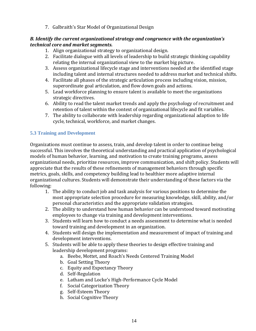7. Galbraith's Star Model of Organizational Design

### *B. Identify the current organizational strategy and congruence with the organization's technical core and market segments.*

- 1. Align organizational strategy to organizational design.
- 2. Facilitate dialogue with all levels of leadership to build strategic thinking capability relating the internal organizational view to the market big picture.
- 3. Assess organizational lifecycle stage and interventions needed at the identified stage including talent and internal structures needed to address market and technical shifts.
- 4. Facilitate all phases of the strategic articulation process including vision, mission, superordinate goal articulation, and flow down goals and actions.
- 5. Lead workforce planning to ensure talent is available to meet the organizations strategic directives.
- 6. Ability to read the talent market trends and apply the psychology of recruitment and retention of talent within the context of organizational lifecycle and fit variables.
- 7. The ability to collaborate with leadership regarding organizational adaption to life cycle, technical, workforce, and market changes.

## <span id="page-21-0"></span>**5.3 Training and Development**

Organizations must continue to assess, train, and develop talent in order to continue being successful. This involves the theoretical understanding and practical application of psychological models of human behavior, learning, and motivation to create training programs, assess organizational needs, prioritize resources, improve communication, and shift policy. Students will appreciate that the results of these refinements of management behaviors through specific metrics, goals, skills, and competency building lead to healthier more adaptive internal organizational cultures. Students will demonstrate their understanding of these factors via the following:

- 1. The ability to conduct job and task analysis for various positions to determine the most appropriate selection procedure for measuring knowledge, skill, ability, and/or personal characteristics and the appropriate validation strategies.
- 2. The ability to understand how human behavior can be understood toward motivating employees to change via training and development interventions.
- 3. Students will learn how to conduct a needs assessment to determine what is needed toward training and development in an organization.
- 4. Students will design the implementation and measurement of impact of training and development interventions.
- 5. Students will be able to apply these theories to design effective training and leadership development programs:
	- a. Beebe, Mottet, and Roach's Needs Centered Training Model
	- b. Goal Setting Theory
	- c. Equity and Expectancy Theory
	- d. Self-Regulation
	- e. Latham and Locke's High-Performance Cycle Model
	- f. Social Categorization Theory
	- g. Self-Esteem Theory
	- h. Social Cognitive Theory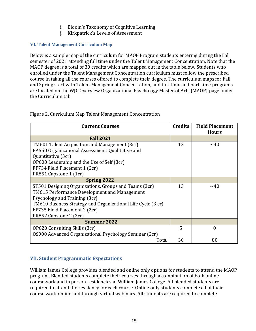- i. Bloom's Taxonomy of Cognitive Learning
- j. Kirkpatrick's Levels of Assessment

#### <span id="page-22-0"></span>**VI. Talent Management Curriculum Map**

Below is a sample map of the curriculum for MAOP Program students entering during the Fall semester of 2021 attending full time under the Talent Management Concentration. Note that the MAOP degree is a total of 30 credits which are mapped out in the table below. Students who enrolled under the Talent Management Concentration curriculum must follow the prescribed course in taking all the courses offered to complete their degree. The curriculum maps for Fall and Spring start with Talent Management Concentration, and full-time and part-time programs are located on the WJC Overview Organizational Psychology Master of Arts (MAOP) page under the Curriculum tab.

| <b>Current Courses</b>                                       | <b>Credits</b> | <b>Field Placement</b><br><b>Hours</b> |
|--------------------------------------------------------------|----------------|----------------------------------------|
| <b>Fall 2021</b>                                             |                |                                        |
| TM601 Talent Acquisition and Management (3cr)                | 12             | $~1$ $~40$                             |
| PA550 Organizational Assessment: Qualitative and             |                |                                        |
| Quantitative (3cr)                                           |                |                                        |
| OP600 Leadership and the Use of Self (3cr)                   |                |                                        |
| FP734 Field Placement 1 (2cr)                                |                |                                        |
| PR851 Capstone 1 (1cr)                                       |                |                                        |
| <b>Spring 2022</b>                                           |                |                                        |
| ST501 Designing Organizations, Groups and Teams (3cr)        | 13             | $\sim$ 40                              |
| TM615 Performance Development and Management                 |                |                                        |
| Psychology and Training (3cr)                                |                |                                        |
| TM610 Business Strategy and Organizational Life Cycle (3 cr) |                |                                        |
| FP735 Field Placement 2 (2cr)                                |                |                                        |
| PR852 Capstone 2 (2cr)                                       |                |                                        |
| <b>Summer 2022</b>                                           |                |                                        |
| OP620 Consulting Skills (3cr)                                | 5              | $\theta$                               |
| 0S900 Advanced Organizational Psychology Seminar (2cr)       |                |                                        |
| Total                                                        | 30             | 80                                     |

<span id="page-22-1"></span>Figure 2. Curriculum Map Talent Management Concentration

# <span id="page-22-2"></span>**VII. Student Programmatic Expectations**

William James College provides blended and online only options for students to attend the MAOP program. Blended students complete their courses through a combination of both online coursework and in person residencies at William James College. All blended students are required to attend the residency for each course. Online only students complete all of their course work online and through virtual webinars. All students are required to complete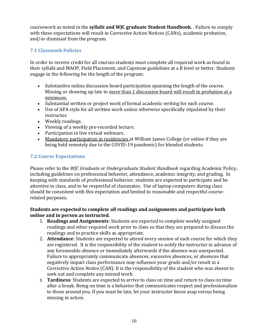coursework as noted in the **syllabi and WJC graduate Student Handbook.** . Failure to comply with these expectations will result in Corrective Action Notices (CANs), academic probation, and/or dismissal from the program.

## <span id="page-23-0"></span>**7.1 Classwork Policies**

In order to receive credit for all courses students must complete all required work as found in their syllabi and MAOP, Field Placement, and Capstone guidelines at a B level or better. Students engage in the following for the length of the program:

- Substantive online discussion board participation spanning the length of the course. Missing or showing up late to more than 1 discussion board will result in probation at a minimum.
- Substantial written or project work of formal academic writing for each course.
- Use of APA style for all written work unless otherwise specifically stipulated by their instructor.
- Weekly readings.
- Viewing of a weekly pre-recorded lecture.
- Participation in live virtual webinars.
- Mandatory participation in residencies at William James College (or online if they are being held remotely due to the COVID-19 pandemic) for blended students.

# <span id="page-23-1"></span>**7.2 Course Expectations**

Please refer to the *WJC Graduate or Undergraduate Student Handbook* regarding Academic Policy, including guidelines on professional behavior, attendance, academic integrity, and grading. In keeping with standards of professional behavior, students are expected to participate and be attentive in class, and to be respectful of classmates. Use of laptop computers during class should be consistent with this expectation and limited to reasonable and respectful courserelated purposes.

#### **Students are expected to complete all readings and assignments and participate both online and in person as instructed.**

- 1. **Readings and Assignments**: Students are expected to complete weekly assigned readings and other required work prior to class so that they are prepared to discuss the readings and to practice skills as appropriate.
- 2. **Attendance**: Students are expected to attend every session of each course for which they are registered. It is the responsibility of the student to notify the instructor in advance of any foreseeable absence or immediately afterwards if the absence was unexpected. Failure to appropriately communicate absences, excessive absences, or absences that negatively impact class performance may influence your grade and/or result in a Corrective Action Notice (CAN). It is the responsibility of the student who was absent to seek out and complete any missed work.
- 3. **Tardiness**: Students are expected to arrive to class on time and return to class on time after a break. Being on time is a behavior that communicates respect and professionalism to those around you. If you must be late, let your instructor know asap versus being missing in action.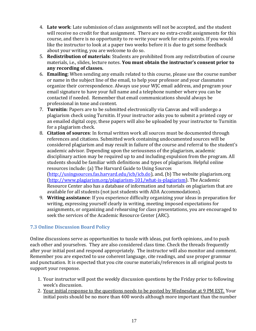- 4. **Late work**: Late submission of class assignments will not be accepted, and the student will receive no credit for that assignment. There are no extra-credit assignments for this course, and there is no opportunity to re-write your work for extra points. If you would like the instructor to look at a paper two weeks before it is due to get some feedback about your writing, you are welcome to do so.
- 5. **Redistribution of materials**: Students are prohibited from any redistribution of course materials, i.e., slides, lecture notes. **You must obtain the instructor's consent prior to any recording of classes.**
- 6. **Emailing**: When sending any emails related to this course, please use the course number or name in the subject line of the email, to help your professor and your classmates organize their correspondence. Always use your WJC email address, and program your email signature to have your full name and a telephone number where you can be contacted if needed. Remember that email communications should always be professional in tone and content.
- 7. **Turnitin**: Papers are to be submitted electronically via Canvas and will undergo a plagiarism check using Turnitin. If your instructor asks you to submit a printed copy or an emailed digital copy, these papers will also be uploaded by your instructor to Turnitin for a plagiarism check.
- 8. **Citation of sources**: In formal written work all sources must be documented through references and citations. Submitted work containing undocumented sources will be considered plagiarism and may result in failure of the course and referral to the student's academic advisor. Depending upon the seriousness of the plagiarism, academic disciplinary action may be required up to and including expulsion from the program. All students should be familiar with definitions and types of plagiarism. Helpful online resources include: (a) The Harvard Guide to Using Sources [\(http://usingsources.fas.harvard.edu/icb/icb.do\)](http://usingsources.fas.harvard.edu/icb/icb.do), and, (b) The website plagiarism.org [\(http://www.plagiarism.org/plagiarism-101/what-is-plagiarism\)](http://www.plagiarism.org/plagiarism-101/what-is-plagiarism). The Academic Resource Center also has a database of information and tutorials on plagiarism that are available for all students (not just students with ADA Accommodations).
- 9. **Writing assistance**: If you experience difficulty organizing your ideas in preparation for writing, expressing yourself clearly in writing, meeting imposed expectations for assignments, or organizing and rehearsing for class presentations, you are encouraged to seek the services of the Academic Resource Center (ARC).

### <span id="page-24-0"></span>**7.3 Online Discussion Board Policy**

Online discussions serve as opportunities to tussle with ideas, put forth opinions, and to push each other and yourselves. They are also considered class time. Check the threads frequently after your initial post and respond appropriately. The instructor will also monitor and comment. Remember you are expected to use coherent language, cite readings, and use proper grammar and punctuation. It is expected that you cite course materials/references in all original posts to support your response.

- 1. Your instructor will post the weekly discussion questions by the Friday prior to following week's discussion.
- 2. Your initial response to the questions needs to be posted by Wednesday at 9 PM EST. Your initial posts should be no more than 400 words although more important than the number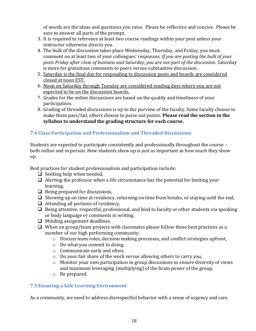of words are the ideas and questions you raise. Please be reflective and concise. Please be sure to answer all parts of the prompt.

- 3. It is required to reference at least two course readings within your post unless your instructor otherwise directs you.
- 4. The bulk of the discussion takes place Wednesday, Thursday, and Friday, you must comment on at least two of your colleagues' responses. *If you are posting the bulk of your posts Friday after close of business and Saturday, you are not part of the discussion.* Saturday is more for gratuitous comments to peers versus substantive discussion.
- 5. Saturday is the final day for responding to discussion posts and boards are considered closed at noon EST.
- 6. Noon on Saturday through Tuesday are considered reading days where you are not expected to be on the discussion boards.
- 7. Grades for the online discussions are based on the quality and timeliness of your participation.
- 8. Grading of threaded discussions is up to the purview of the faculty. Some faculty choose to make them pass/fail, others choose to parse out points. **Please read the section in the syllabus to understand the grading structure for each course.**

# <span id="page-25-0"></span>**7.4 Class Participation and Professionalism and Threaded Discussions**

Students are expected to participate consistently and professionally throughout the course – both online and in person. How students show up is just as important as how much they show up.

Best practices for student professionalism and participation include:

- $\Box$  Seeking help when needed,
- $\Box$  Alerting the professor when a life circumstance has the potential for limiting your learning,
- $\Box$  Being prepared for discussions,
- ❑ Showing up on time at residency, returning on time from breaks, or staying until the end,
- ❑ Attending all portions of residency,
- ❑ Being attentive, respectful, professional, and kind to faculty or other students via speaking or body language or comments in writing,
- ❑ Minding assignment deadlines.
- $\Box$  When on group/team projects with classmates please follow these best practices as a member of our high performing community:
	- o Discuss team roles, decision making processes, and conflict strategies upfront,
	- o Do what you commit to doing,
	- o Communicate early and often,
	- o Do your fair share of the work versus allowing others to carry you,
	- o Monitor your own participation in group discussions to ensure diversity of views and maximum leveraging (multiplying) of the brain power of the group,
	- o Be prepared.

# <span id="page-25-1"></span>**7.5 Ensuring a Safe Learning Environment**

As a community, we need to address disrespectful behavior with a sense of urgency and care.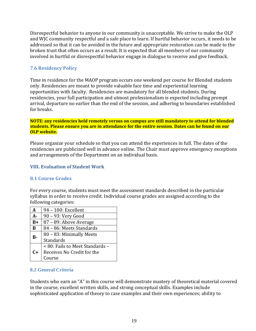Disrespectful behavior to anyone in our community is unacceptable. We strive to make the OLP and WJC community respectful and a safe place to learn. If hurtful behavior occurs, it needs to be addressed so that it can be avoided in the future and appropriate restoration can be made to the broken trust that often occurs as a result. It is expected that all members of our community involved in hurtful or disrespectful behavior engage in dialogue to receive and give feedback.

### <span id="page-26-0"></span>**7.6 Residency Policy**

Time in residence for the MAOP program occurs one weekend per course for Blended students only. Residencies are meant to provide valuable face time and experiential learning opportunities with faculty. Residencies are mandatory for all blended students. During residencies, your full participation and utmost professionalism is expected including prompt arrival, departure no earlier than the end of the session, and adhering to boundaries established for breaks.

#### **NOTE: any residencies held remotely versus on campus are still mandatory to attend for blended students. Please ensure you are in attendance for the entire session. Dates can be found on our OLP website.**

Please organize your schedule so that you can attend the experiences in full. The dates of the residencies are publicized well in advance online. The Chair must approve emergency exceptions and arrangements of the Department on an individual basis.

#### <span id="page-26-1"></span>**VIII. Evaluation of Student Work**

### <span id="page-26-2"></span>**8.1 Course Grades**

For every course, students must meet the assessment standards described in the particular syllabus in order to receive credit. Individual course grades are assigned according to the following categories:

| A     | 94 - 100: Excellent             |  |  |  |  |
|-------|---------------------------------|--|--|--|--|
| $A -$ | 90 - 93: Very Good              |  |  |  |  |
| $B+$  | 87 - 89: Above Average          |  |  |  |  |
| B     | 84 - 86: Meets Standards        |  |  |  |  |
| B-    | 80 - 83: Minimally Meets        |  |  |  |  |
|       | <b>Standards</b>                |  |  |  |  |
|       | < 80: Fails to Meet Standards - |  |  |  |  |
| C+    | Receives No Credit for the      |  |  |  |  |
|       | Course                          |  |  |  |  |

#### <span id="page-26-3"></span>**8.2 General Criteria**

Students who earn an "A" in this course will demonstrate mastery of theoretical material covered in the course, excellent written skills, and strong conceptual skills. Examples include sophisticated application of theory to case examples and their own experiences; ability to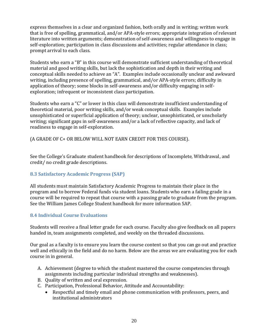express themselves in a clear and organized fashion, both orally and in writing; written work that is free of spelling, grammatical, and/or APA-style errors; appropriate integration of relevant literature into written arguments; demonstration of self-awareness and willingness to engage in self-exploration; participation in class discussions and activities; regular attendance in class; prompt arrival to each class.

Students who earn a "B" in this course will demonstrate sufficient understanding of theoretical material and good writing skills, but lack the sophistication and depth in their writing and conceptual skills needed to achieve an "A". Examples include occasionally unclear and awkward writing, including presence of spelling, grammatical, and/or APA-style errors; difficulty in application of theory; some blocks in self-awareness and/or difficulty engaging in selfexploration; infrequent or inconsistent class participation.

Students who earn a "C" or lower in this class will demonstrate insufficient understanding of theoretical material, poor writing skills, and/or weak conceptual skills. Examples include unsophisticated or superficial application of theory; unclear, unsophisticated, or unscholarly writing; significant gaps in self-awareness and/or a lack of reflective capacity, and lack of readiness to engage in self-exploration.

(A GRADE OF C+ OR BELOW WILL NOT EARN CREDIT FOR THIS COURSE).

See the College's Graduate student handbook for descriptions of Incomplete, Withdrawal, and credit/ no credit grade descriptions.

### <span id="page-27-0"></span>**8.3 Satisfactory Academic Progress (SAP)**

All students must maintain Satisfactory Academic Progress to maintain their place in the program and to borrow Federal funds via student loans. Students who earn a failing grade in a course will be required to repeat that course with a passing grade to graduate from the program. See the William James College Student handbook for more information SAP.

#### <span id="page-27-1"></span>**8.4 Individual Course Evaluations**

Students will receive a final letter grade for each course. Faculty also give feedback on all papers handed in, team assignments completed, and weekly on the threaded discussions.

Our goal as a faculty is to ensure you learn the course content so that you can go out and practice well and ethically in the field and do no harm. Below are the areas we are evaluating you for each course in in general.

- A. Achievement (degree to which the student mastered the course competencies through assignments including particular individual strengths and weaknesses).
- B. Quality of written and oral expression.
- C. Participation, Professional Behavior, Attitude and Accountability:
	- Respectful and timely email and phone communication with professors, peers, and institutional administrators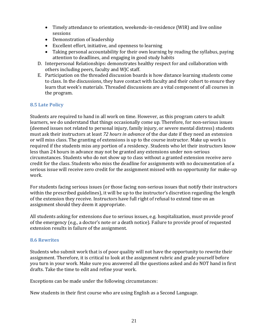- Timely attendance to orientation, weekends-in-residence (WIR) and live online sessions
- Demonstration of leadership
- Excellent effort, initiative, and openness to learning
- Taking personal accountability for their own learning by reading the syllabus, paying attention to deadlines, and engaging in good study habits
- D. Interpersonal Relationships: demonstrates healthy respect for and collaboration with others including peers, faculty and WJC staff.
- E. Participation on the threaded discussion boards is how distance learning students come to class. In the discussions, they have contact with faculty and their cohort to ensure they learn that week's materials. Threaded discussions are a vital component of all courses in the program.

### <span id="page-28-0"></span>**8.5 Late Policy**

Students are required to hand in all work on time. However, as this program caters to adult learners, we do understand that things occasionally come up. Therefore, for non-serious issues (deemed issues not related to personal injury, family injury, or severe mental distress) students must ask their instructors at least *72 hours in advance* of the due date if they need an extension or will miss class. The granting of extensions is up to the course instructor. Make up work is required if the students miss any portion of a residency. Students who let their instructors know less than 24 hours in advance may not be granted any extensions under non-serious circumstances. Students who do not show up to class without a granted extension receive zero credit for the class. Students who miss the deadline for assignments with no documentation of a serious issue will receive zero credit for the assignment missed with no opportunity for make-up work.

For students facing serious issues (or those facing non-serious issues that notify their instructors within the prescribed guidelines), it will be up to the instructor's discretion regarding the length of the extension they receive. Instructors have full right of refusal to extend time on an assignment should they deem it appropriate.

All students asking for extensions due to serious issues, e.g. hospitalization, must provide proof of the emergency (e.g., a doctor's note or a death notice). Failure to provide proof of requested extension results in failure of the assignment.

#### <span id="page-28-1"></span>**8.6 Rewrites**

Students who submit work that is of poor quality will not have the opportunity to rewrite their assignment. Therefore, it is critical to look at the assignment rubric and grade yourself before you turn in your work. Make sure you answered all the questions asked and do NOT hand in first drafts. Take the time to edit and refine your work.

Exceptions can be made under the following circumstances:

New students in their first course who are using English as a Second Language.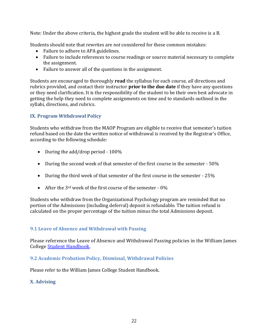Note: Under the above criteria, the highest grade the student will be able to receive is a B.

Students should note that rewrites are *not* considered for these common mistakes:

- Failure to adhere to APA guidelines.
- Failure to include references to course readings or source material necessary to complete the assignment.
- Failure to answer all of the questions in the assignment.

Students are encouraged to thoroughly **read** the syllabus for each course, *all* directions and rubrics provided, and contact their instructor **prior to the due date** if they have any questions or they need clarification. It is the responsibility of the student to be their own best advocate in getting the help they need to complete assignments on time and to standards outlined in the syllabi, directions, and rubrics.

### <span id="page-29-0"></span>**IX. Program Withdrawal Policy**

Students who withdraw from the MAOP Program are eligible to receive that semester's tuition refund based on the date the written notice of withdrawal is received by the Registrar's Office, according to the following schedule:

- During the add/drop period 100%
- During the second week of that semester of the first course in the semester 50%
- During the third week of that semester of the first course in the semester 25%
- After the 3<sup>rd</sup> week of the first course of the semester  $-0\%$

Students who withdraw from the Organizational Psychology program are reminded that no portion of the Admissions (including deferral) deposit is refundable. The tuition refund is calculated on the proper percentage of the tuition minus the total Admissions deposit.

### <span id="page-29-1"></span>**9.1 Leave of Absence and Withdrawal with Passing**

Please reference the Leave of Absence and Withdrawal Passing policies in the William James College [Student Handbook.](https://www.williamjames.edu/student-life/policy-procedures/upload/wjc-graduate-student-handbook.pdf)

#### <span id="page-29-2"></span>**9.2 Academic Probation Policy, Dismissal, Withdrawal Policies**

Please refer to the William James College Student Handbook.

#### <span id="page-29-3"></span>**X. Advising**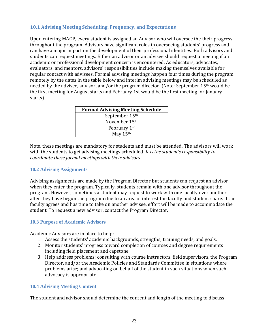#### <span id="page-30-0"></span>**10.1 Advising Meeting Scheduling, Frequency, and Expectations**

Upon entering MAOP, every student is assigned an Advisor who will oversee the their progress throughout the program. Advisors have significant roles in overseeing students' progress and can have a major impact on the development of their professional identities. Both advisors and students can request meetings. Either an advisor or an advisee should request a meeting if an academic or professional development concern is encountered. As educators, advocates, evaluators, and mentors, advisors' responsibilities include making themselves available for regular contact with advisees. Formal advising meetings happen four times during the program remotely by the dates in the table below and interim advising meetings may be scheduled as needed by the advisee, advisor, and/or the program director. (Note: September 15th would be the first meeting for August starts and February 1st would be the first meeting for January starts).

| <b>Formal Advising Meeting Schedule</b> |
|-----------------------------------------|
| September 15th                          |
| November 15 <sup>th</sup>               |
| February 1st                            |
| May 15th                                |

Note, these meetings are mandatory for students and must be attended. The advisors will work with the students to get advising meetings scheduled. *It is the student's responsibility to coordinate these formal meetings with their advisors.*

#### <span id="page-30-1"></span>**10.2 Advising Assignments**

Advising assignments are made by the Program Director but students can request an advisor when they enter the program. Typically, students remain with one advisor throughout the program. However, sometimes a student may request to work with one faculty over another after they have begun the program due to an area of interest the faculty and student share. If the faculty agrees and has time to take on another advisee, effort will be made to accommodate the student. To request a new advisor, contact the Program Director.

#### <span id="page-30-2"></span>**10.3 Purpose of Academic Advisors**

Academic Advisors are in place to help:

- 1. Assess the students' academic backgrounds, strengths, training needs, and goals.
- 2. Monitor students' progress toward completion of courses and degree requirements including field placement and capstone.
- 3. Help address problems; consulting with course instructors, field supervisors, the Program Director, and/or the Academic Policies and Standards Committee in situations where problems arise; and advocating on behalf of the student in such situations when such advocacy is appropriate.

#### <span id="page-30-3"></span>**10.4 Advising Meeting Content**

The student and advisor should determine the content and length of the meeting to discuss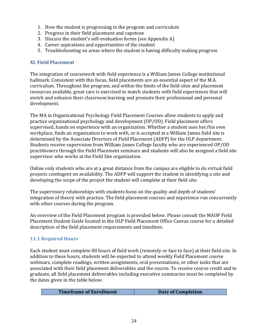- 1. How the student is progressing in the program and curriculum
- 2. Progress in their field placement and capstone
- 3. Discuss the student's self-evaluation forms (see Appendix A)
- 4. Career aspirations and opportunities of the student
- 5. Troubleshooting on areas where the student is having difficulty making progress

#### <span id="page-31-0"></span>**XI. Field Placement**

The integration of coursework with field experience is a William James College institutional hallmark. Consistent with this focus, field placements are an essential aspect of the M.A. curriculum. Throughout the program, and within the limits of the field sites and placement resources available, great care is exercised to match students with field experiences that will enrich and enhance their classroom learning and promote their professional and personal development.

The MA in Organizational Psychology Field Placement Courses allow students to apply and practice organizational psychology and development (OP/OD). Field placement offers supervised, hands on experience with an organization. Whether a student uses her/his own workplace, finds an organization to work with, or is accepted at a William James field site is determined by the Associate Directors of Field Placement (ADFP) for the OLP department. Students receive supervision from William James College faculty who are experienced OP/OD practitioners through the Field Placement seminars and students will also be assigned a field site supervisor who works at the Field Site organization.

Online only students who are at a great distance from the campus are eligible to do virtual field projects contingent on availability. The ADFP will support the student in identifying a site and developing the scope of the project the student will complete at their field site.

The supervisory relationships with students focus on the quality and depth of students' integration of theory with practice. The field placement courses and experience run concurrently with other courses during the program.

An overview of the Field Placement program is provided below. Please consult the MAOP Field Placement Student Guide located in the OLP Field Placement Office Canvas course for a detailed description of the field placement requirements and timelines.

### <span id="page-31-1"></span>**11.1 Required Hours**

Each student must complete 80 hours of field work (remotely or face to face) at their field site. In addition to these hours, students will be expected to attend weekly Field Placement course webinars, complete readings, written assignments, oral presentations, or other tasks that are associated with their field placement deliverables and the course. To receive course credit and to graduate, all field placement deliverables including executive summaries must be completed by the dates given in the table below.

| <b>Timeframe of Enrollment</b> | Date of Completion |
|--------------------------------|--------------------|
|                                |                    |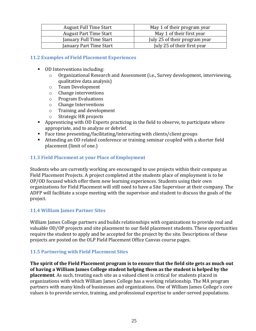| <b>August Full Time Start</b> | May 1 of their program year   |
|-------------------------------|-------------------------------|
| <b>August Part Time Start</b> | May 1 of their first year     |
| January Full Time Start       | July 25 of their program year |
| January Part Time Start       | July 25 of their first year   |

#### <span id="page-32-0"></span>**11.2 Examples of Field Placement Experiences**

- OD Interventions including:
	- o Organizational Research and Assessment (i.e., Survey development, interviewing, qualitative data analysis)
	- o Team Development
	- o Change interventions
	- o Program Evaluations
	- o Change Interventions
	- o Training and development
	- o Strategic HR projects
- Apprenticing with OD Experts practicing in the field to observe, to participate where appropriate, and to analyze or debrief.
- Face time presenting/facilitating/interacting with clients/client groups
- Attending an OD related conference or training seminar coupled with a shorter field placement (limit of one.)

#### <span id="page-32-1"></span>**11.3 Field Placement at your Place of Employment**

Students who are currently working are encouraged to use projects within their company as Field Placement Projects. A project completed at the students place of employment is to be OP/OD focused which offer them new learning experiences. Students using their own organizations for Field Placement will still need to have a Site Supervisor at their company. The ADFP will facilitate a scope meeting with the supervisor and student to discuss the goals of the project.

### <span id="page-32-2"></span>**11.4 William James Partner Sites**

William James College partners and builds relationships with organizations to provide real and valuable OD/OP projects and site placement to our field placement students. These opportunities require the student to apply and be accepted for the project by the site. Descriptions of these projects are posted on the OLP Field Placement Office Canvas course pages.

### <span id="page-32-3"></span>**11.5 Partnering with Field Placement Sites**

**The spirit of the Field Placement program is to ensure that the field site gets as much out of having a William James College student helping them as the student is helped by the placement**. As such, treating each site as a valued client is critical for students placed in organizations with which William James College has a working relationship. The MA program partners with many kinds of businesses and organizations. One of William James College's core values is to provide service, training, and professional expertise to under-served populations.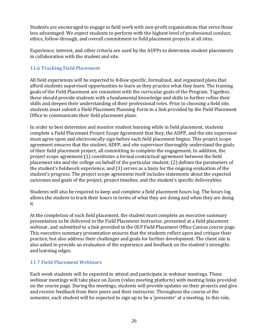Students are encouraged to engage in field work with non-profit organizations that serve those less advantaged. We expect students to perform with the highest level of professional conduct, ethics, follow-through, and overall commitment to field placement projects at all sites.

Experience, interest, and other criteria are used by the ADFPs to determine student placements in collaboration with the student and site.

### <span id="page-33-0"></span>**11.6 Tracking Field Placement**

All field experiences will be expected to follow specific, formalized, and organized plans that afford students supervised opportunities to learn as they practice what they learn. The training goals of the Field Placement are consistent with the curricular goals of the Program. Together, these should provide students with a fundamental knowledge and skills to further refine their skills and deepen their understanding of their professional roles. Prior to choosing a field site, students must submit a Field Placement Planning Form to a link provided by the Field Placement Office to communicate their field placement plans.

In order to best determine and monitor student learning while in field placement, students complete a Field Placement Project Scope Agreement that they, the ADFP, and the site supervisor must agree upon and electronically sign before each field placement begins. This project scope agreement ensures that the student, ADFP, and site supervisor thoroughly understand the goals of their field placement project, all committing to complete the engagement. In addition, the project scope agreement (1) constitutes a formal contractual agreement between the field placement site and the college on behalf of the particular student; (2) defines the parameters of the student's fieldwork experience; and (3) serves as a basis for the ongoing evaluation of the student's progress. The project scope agreement itself includes statements about the expected outcomes and goals of the project, project timeline, and the student's specific deliverables.

Students will also be required to keep and complete a field placement hours log. The hours log allows the student to track their hours in terms of what they are doing and when they are doing it.

At the completion of each field placement, the student must complete an executive summary presentation to be delivered to the Field Placement Instructor, presented at a field placement webinar, and submitted to a link provided in the OLP Field Placement Office Canvas course page. This executive summary presentation ensures that the students reflect upon and critique their practice, but also address their challenges and goals for further development. The client site is also asked to provide an evaluation of the experience and feedback on the student's strengths and learning edges.

### <span id="page-33-1"></span>**11.7 Field Placement Webinars**

Each week students will be expected to attend and participate in webinar meetings. These webinar meetings will take place on Zoom (video meeting platform) with meeting links provided on the course page. During the meetings, students will provide updates on their projects and give and receive feedback from their peers and their instructor. Throughout the course of the semester, each student will be expected to sign up to be a 'presenter' at a meeting. In this role,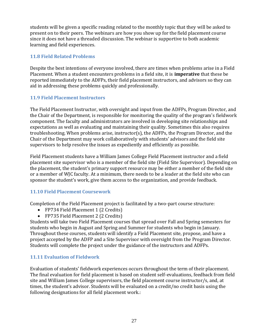students will be given a specific reading related to the monthly topic that they will be asked to present on to their peers. The webinars are how you show up for the field placement course since it does not have a threaded discussion. The webinar is supportive to both academic learning and field experiences.

### <span id="page-34-0"></span>**11.8 Field Related Problems**

Despite the best intentions of everyone involved, there are times when problems arise in a Field Placement. When a student encounters problems in a field site, it is **imperative** that these be reported immediately to the ADFPs, their field placement instructors, and advisors so they can aid in addressing these problems quickly and professionally.

## <span id="page-34-1"></span>**11.9 Field Placement Instructors**

The Field Placement Instructor, with oversight and input from the ADFPs, Program Director, and the Chair of the Department, is responsible for monitoring the quality of the program's fieldwork component. The faculty and administrators are involved in developing site relationships and expectations as well as evaluating and maintaining their quality. Sometimes this also requires troubleshooting. When problems arise, instructor(s), the ADFPs, the Program Director, and the Chair of the Department may work collaboratively with students' advisors and the field site supervisors to help resolve the issues as expediently and efficiently as possible.

Field Placement students have a William James College Field Placement instructor and a field placement site supervisor who is a member of the field site (Field Site Supervisor). Depending on the placement, the student's primary support resource may be either a member of the field site or a member of WJC faculty. At a minimum, there needs to be a leader at the field site who can sponsor the student's work, give them access to the organization, and provide feedback.

# <span id="page-34-2"></span>**11.10 Field Placement Coursework**

Completion of the Field Placement project is facilitated by a two-part course structure:

- FP734 Field Placement 1 (2 Credits)
- FP735 Field Placement 2 (2 Credits)

Students will take two Field Placement courses that spread over Fall and Spring semesters for students who begin in August and Spring and Summer for students who begin in January. Throughout these courses, students will identify a Field Placement site, propose, and have a project accepted by the ADFP and a Site Supervisor with oversight from the Program Director. Students will complete the project under the guidance of the instructors and ADFPs.

### <span id="page-34-3"></span>**11.11 Evaluation of Fieldwork**

Evaluation of students' fieldwork experiences occurs throughout the term of their placement. The final evaluation for field placement is based on student self-evaluations, feedback from field site and William James College supervisors, the field placement course instructor/s, and, at times, the student's advisor. Students will be evaluated on a credit/no credit basis using the following designations for all field placement work.: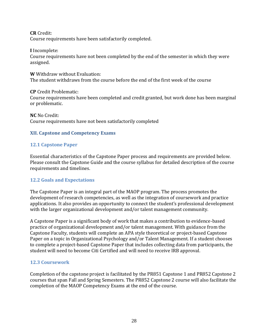**CR** Credit: Course requirements have been satisfactorily completed.

**I** Incomplete:

Course requirements have not been completed by the end of the semester in which they were assigned.

**W** Withdraw without Evaluation: The student withdraws from the course before the end of the first week of the course

**CP** Credit Problematic:

Course requirements have been completed and credit granted, but work done has been marginal or problematic.

**NC** No Credit: Course requirements have not been satisfactorily completed

#### <span id="page-35-0"></span>**XII. Capstone and Competency Exams**

### <span id="page-35-1"></span>**12.1 Capstone Paper**

Essential characteristics of the Capstone Paper process and requirements are provided below. Please consult the Capstone Guide and the course syllabus for detailed description of the course requirements and timelines.

### <span id="page-35-2"></span>**12.2 Goals and Expectations**

The Capstone Paper is an integral part of the MAOP program. The process promotes the development of research competencies, as well as the integration of coursework and practice applications. It also provides an opportunity to connect the student's professional development with the larger organizational development and/or talent management community.

A Capstone Paper is a significant body of work that makes a contribution to evidence-based practice of organizational development and/or talent management. With guidance from the Capstone Faculty, students will complete an APA style theoretical or project-based Capstone Paper on a topic in Organizational Psychology and/or Talent Management. If a student chooses to complete a project-based Capstone Paper that includes collecting data from participants, the student will need to become Citi Certified and will need to receive IRB approval.

#### <span id="page-35-3"></span>**12.3 Coursework**

Completion of the capstone project is facilitated by the PR851 Capstone 1 and PR852 Capstone 2 courses that span Fall and Spring Semesters. The PR852 Capstone 2 course will also facilitate the completion of the MAOP Competency Exams at the end of the course.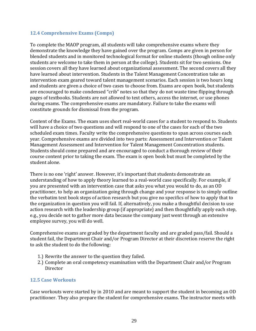#### <span id="page-36-0"></span>**12.4 Comprehensive Exams (Comps)**

To complete the MAOP program, all students will take comprehensive exams where they demonstrate the knowledge they have gained over the program. Comps are given in person for blended students and in monitored technological format for online students (though online only students are welcome to take them in person at the college). Students sit for two sessions. One session covers all they have learned about organizational assessment. The second covers all they have learned about intervention. Students in the Talent Management Concentration take an intervention exam geared toward talent management scenarios. Each session is two hours long and students are given a choice of two cases to choose from. Exams are open book, but students are encouraged to make condensed "crib" notes so that they do not waste time flipping through pages of textbooks. Students are not allowed to text others, access the internet, or use phones during exams. The comprehensive exams are mandatory. Failure to take the exams will constitute grounds for dismissal from the program.

Content of the Exams. The exam uses short real-world cases for a student to respond to. Students will have a choice of two questions and will respond to one of the cases for each of the two scheduled exam times. Faculty write the comprehensive questions to span across courses each year. Comprehensive exams are divided into two parts: Assessment and Intervention or Talent Management Assessment and Intervention for Talent Management Concentration students. Students should come prepared and are encouraged to conduct a thorough review of their course content prior to taking the exam. The exam is open book but must be completed by the student alone.

There is no one 'right' answer. However, it's important that students demonstrate an understanding of how to apply theory learned to a real-world case specifically. For example, if you are presented with an intervention case that asks you what you would to do, as an OD practitioner, to help an organization going through change and your response is to simply outline the verbatim text book steps of action research but you give no specifics of how to apply that to the organization in question you will fail. If, alternatively, you make a thoughtful decision to use action research with the leadership group (if appropriate) and then thoughtfully apply each step, e.g., you decide not to gather more data because the company just went through an extensive employee survey, you will do well.

Comprehensive exams are graded by the department faculty and are graded pass/fail. Should a student fail, the Department Chair and/or Program Director at their discretion reserve the right to ask the student to do the following:

- 1.) Rewrite the answer to the question they failed.
- 2.) Complete an oral competency examination with the Department Chair and/or Program **Director**

### <span id="page-36-1"></span>**12.5 Case Workouts**

Case workouts were started by in 2010 and are meant to support the student in becoming an OD practitioner. They also prepare the student for comprehensive exams. The instructor meets with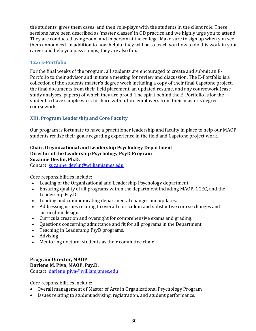the students, gives them cases, and then role-plays with the students in the client role. These sessions have been described as 'master classes' in OD practice and we highly urge you to attend. They are conducted using zoom and in person at the college. Make sure to sign up when you see them announced. In addition to how helpful they will be to teach you how to do this work in your career and help you pass comps; they are also fun.

### <span id="page-37-0"></span>**12.6 E-Portfolio**

For the final weeks of the program, all students are encouraged to create and submit an E-Portfolio to their advisor and initiate a meeting for review and discussion. The E-Portfolio is a collection of the students master's degree work including a copy of their final Capstone project, the final documents from their field placement, an updated resume, and any coursework (case study analyses, papers) of which they are proud. The spirit behind the E-Portfolio is for the student to have sample work to share with future employers from their master's degree coursework.

## <span id="page-37-1"></span>**XIII. Program Leadership and Core Faculty**

Our program is fortunate to have a practitioner leadership and faculty in place to help our MAOP students realize their goals regarding experience in the field and Capstone project work.

#### **Chair, Organizational and Leadership Psychology Department Director of the Leadership Psychology PsyD Program Suzanne Devlin, Ph.D.**

Contact: suzanne devlin@williamjames.edu

Core responsibilities include:

- Leading of the Organizational and Leadership Psychology department.
- Ensuring quality of all programs within the department including MAOP, GCEC, and the Leadership Psy.D.
- Leading and communicating departmental changes and updates.
- Addressing issues relating to overall curriculum and substantive course changes and curriculum design.
- Curricula creation and oversight for comprehensive exams and grading.
- Questions concerning admittance and fit for all programs in the Department.
- Teaching in Leadership PsyD programs.
- Advising
- Mentoring doctoral students as their committee chair.

#### **Program Director, MAOP Darlene M. Piva, MAOP, Psy.D.**

Contact: darlene piva@williamjames.edu

Core responsibilities include:

- Overall management of Master of Arts in Organizational Psychology Program
- Issues relating to student advising, registration, and student performance.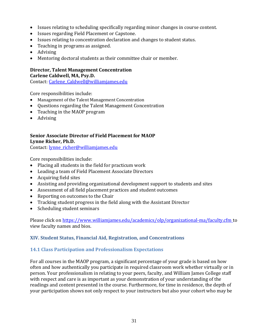- Issues relating to scheduling specifically regarding minor changes in course content.
- Issues regarding Field Placement or Capstone.
- Issues relating to concentration declaration and changes to student status.
- Teaching in programs as assigned.
- Advising
- Mentoring doctoral students as their committee chair or member.

# **Director, Talent Management Concentration**

**Carlene Caldwell, MA, Psy.D.**

Contact: [Carlene\\_Caldwell@williamjames.edu](mailto:Miranda_Ralston@williamjames.edu)

Core responsibilities include:

- Management of the Talent Management Concentration
- Questions regarding the Talent Management Concentration
- Teaching in the MAOP program
- Advising

#### **Senior Associate Director of Field Placement for MAOP Lynne Richer, Ph.D.**

Contact: [lynne\\_richer@williamjames.edu](mailto:lynne_richer@williamjames.edu)

Core responsibilities include:

- Placing all students in the field for practicum work
- Leading a team of Field Placement Associate Directors
- Acquiring field sites
- Assisting and providing organizational development support to students and sites
- Assessment of all field placement practices and student outcomes
- Reporting on outcomes to the Chair
- Tracking student progress in the field along with the Assistant Director
- Scheduling student seminars

Please click on<https://www.williamjames.edu/academics/olp/organizational-ma/faculty.cfm> to view faculty names and bios.

### <span id="page-38-0"></span>**XIV. Student Status, Financial Aid, Registration, and Concentrations**

### <span id="page-38-1"></span>**14.1 Class Participation and Professionalism Expectations**

For all courses in the MAOP program, a significant percentage of your grade is based on how often and how authentically you participate in required classroom work whether virtually or in person. Your professionalism in relating to your peers, faculty, and William James College staff with respect and care is as important as your demonstration of your understanding of the readings and content presented in the course. Furthermore, for time in residence, the depth of your participation shows not only respect to your instructors but also your cohort who may be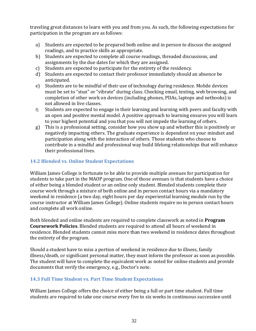traveling great distances to learn with you and from you. As such, the following expectations for participation in the program are as follows:

- a) Students are expected to be prepared both online and in person to discuss the assigned readings, and to practice skills as appropriate.
- b) Students are expected to complete all course readings, threaded discussions, and assignments by the due dates for which they are assigned.
- c) Students are expected to participate for the entirety of the residency.
- d) Students are expected to contact their professor immediately should an absence be anticipated.
- e) Students are to be mindful of their use of technology during residence. Mobile devices must be set to "stun" or "vibrate" during class. Checking email, texting, web browsing, and completion of other work on devices (including phones, PDAs, laptops and netbooks) is not allowed in live classes.
- f) Students are expected to engage in their learning and learning with peers and faculty with an open and positive mental model. A positive approach to learning ensures you will learn to your highest potential and you that you will not impede the learning of others.
- g) This is a professional setting, consider how you show up and whether this is positively or negatively impacting others. The graduate experience is dependent on your mindset and participation along with the interaction of others. Those students who choose to contribute in a mindful and professional way build lifelong relationships that will enhance their professional lives.

### <span id="page-39-0"></span>**14.2 Blended vs. Online Student Expectations**

William James College is fortunate to be able to provide multiple avenues for participation for students to take part in the MAOP program. One of those avenues is that students have a choice of either being a blended student or an online only student. Blended students complete their course work through a mixture of both online and in person contact hours via a mandatory weekend in residence (a two day, eight hours per day experiential learning module run by the course instructor at William James College). Online students require no in person contact hours and complete all work online.

Both blended and online students are required to complete classwork as noted in **Program Coursework Policies**. Blended students are required to attend all hours of weekend in residence. Blended students cannot miss more than two weekend in residence dates throughout the entirety of the program.

Should a student have to miss a portion of weekend in residence due to illness, family illness/death, or significant personal matter, they must inform the professor as soon as possible. The student will have to complete the equivalent work as noted for online students and provide documents that verify the emergency, e.g., Doctor's note.

#### <span id="page-39-1"></span>**14.3 Full Time Student vs. Part Time Student Expectations**

William James College offers the choice of either being a full or part time student. Full time students are required to take one course every five to six weeks in continuous succession until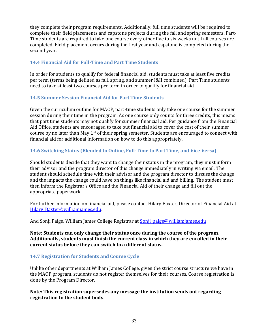they complete their program requirements. Additionally, full time students will be required to complete their field placements and capstone projects during the fall and spring semesters. Part-Time students are required to take one course every other five to six weeks until all courses are completed. Field placement occurs during the first year and capstone is completed during the second year.

### <span id="page-40-0"></span>**14.4 Financial Aid for Full-Time and Part Time Students**

In order for students to qualify for federal financial aid, students must take at least five credits per term (terms being defined as fall, spring, and summer I&II combined). Part Time students need to take at least two courses per term in order to qualify for financial aid.

## <span id="page-40-1"></span>**14.5 Summer Session Financial Aid for Part Time Students**

Given the curriculum outline for MAOP, part-time students only take one course for the summer session during their time in the program. As one course only counts for three credits, this means that part time students may not qualify for summer financial aid. Per guidance from the Financial Aid Office, students are encouraged to take out financial aid to cover the cost of their summer course by no later than May 1st of their spring semester. Students are encouraged to connect with financial aid for additional information on how to do this appropriately.

## <span id="page-40-2"></span>**14.6 Switching Status (Blended to Online, Full-Time to Part Time, and Vice Versa)**

Should students decide that they want to change their status in the program, they must inform their advisor and the program director of this change immediately in writing via email. The student should schedule time with their advisor and the program director to discuss the change and the impacts the change could have on things like financial aid and billing. The student must then inform the Registrar's Office and the Financial Aid of their change and fill out the appropriate paperwork.

For further information on financial aid, please contact Hilary Baxter, Director of Financial Aid at Hilary Baxter@williamjames.edu.

And Sonji Paige, William James College Registrar at [Sonji\\_paige@williamjames.edu](mailto:Sonji_paige@williamjames.edu)

**Note: Students can only change their status once during the course of the program. Additionally, students must finish the current class in which they are enrolled in their current status before they can switch to a different status.** 

### <span id="page-40-3"></span>**14.7 Registration for Students and Course Cycle**

Unlike other departments at William James College, given the strict course structure we have in the MAOP program, students do not register themselves for their courses. Course registration is done by the Program Director.

**Note: This registration supersedes any message the institution sends out regarding registration to the student body.**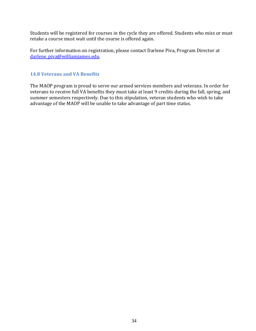Students will be registered for courses in the cycle they are offered. Students who miss or must retake a course must wait until the course is offered again.

For further information on registration, please contact Darlene Piva, Program Director at darlene piva@williamjames.edu.

#### <span id="page-41-0"></span>**14.8 Veterans and VA Benefits**

The MAOP program is proud to serve our armed services members and veterans. In order for veterans to receive full VA benefits they must take at least 9 credits during the fall, spring, and summer semesters respectively. Due to this stipulation, veteran students who wish to take advantage of the MAOP will be unable to take advantage of part time status.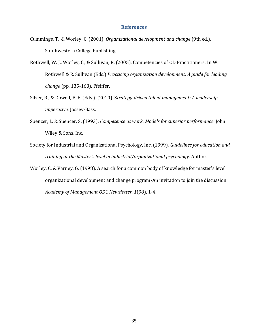#### **References**

- <span id="page-42-0"></span>Cummings, T. & Worley, C. (2001). *Organizational development and change* (9th ed.). Southwestern College Publishing.
- Rothwell, W. J., Worley, C., & Sullivan, R. (2005). Competencies of OD Practitioners. In W. Rothwell & R. Sullivan (Eds.) *Practicing organization development: A guide for leading change* (pp*.* 135-163)*.* Pfeiffer.
- Silzer, R., & Dowell, B. E. (Eds.). (2010). S*trategy-driven talent management: A leadership imperative.* Jossey-Bass.
- Spencer, L. & Spencer, S. (1993). *Competence at work: Models for superior performance*. John Wiley & Sons, Inc.
- Society for Industrial and Organizational Psychology, Inc. (1999). *Guidelines for education and training at the Master's level in industrial/organizational psychology.* Author.
- Worley, C. & Varney, G. (1998). A search for a common body of knowledge for master's level organizational development and change program-An invitation to join the discussion. *Academy of Management ODC Newsletter, 1*(98)*,* 1-4.